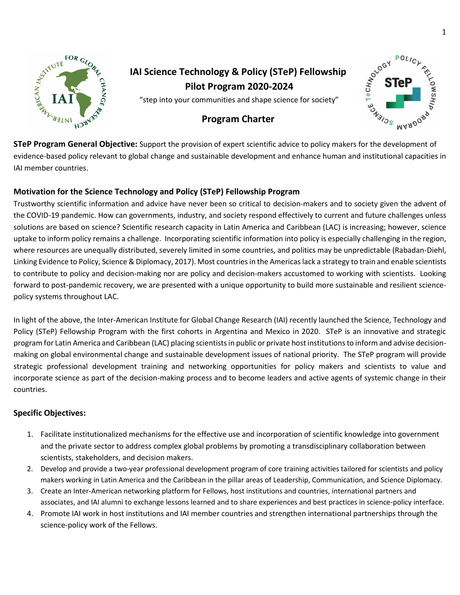

# **IAI Science Technology & Policy (STeP) Fellowship Pilot Program 2020-2024**

"step into your communities and shape science for society"

# **Program Charter**



**STeP Program General Objective:** Support the provision of expert scientific advice to policy makers for the development of evidence-based policy relevant to global change and sustainable development and enhance human and institutional capacities in IAI member countries.

# **Motivation for the Science Technology and Policy (STeP) Fellowship Program**

Trustworthy scientific information and advice have never been so critical to decision-makers and to society given the advent of the COVID-19 pandemic. How can governments, industry, and society respond effectively to current and future challenges unless solutions are based on science? Scientific research capacity in Latin America and Caribbean (LAC) is increasing; however, science uptake to inform policy remains a challenge. Incorporating scientific information into policy is especially challenging in the region, where resources are unequally distributed, severely limited in some countries, and politics may be unpredictable (Rabadan-Diehl, Linking Evidence to Policy, Science & Diplomacy, 2017). Most countries in the Americas lack a strategy to train and enable scientists to contribute to policy and decision-making nor are policy and decision-makers accustomed to working with scientists. Looking forward to post-pandemic recovery, we are presented with a unique opportunity to build more sustainable and resilient sciencepolicy systems throughout LAC.

In light of the above, the Inter-American Institute for Global Change Research (IAI) recently launched the Science, Technology and Policy (STeP) Fellowship Program with the first cohorts in Argentina and Mexico in 2020. STeP is an innovative and strategic program for Latin America and Caribbean (LAC) placing scientists in public or private host institutions to inform and advise decisionmaking on global environmental change and sustainable development issues of national priority. The STeP program will provide strategic professional development training and networking opportunities for policy makers and scientists to value and incorporate science as part of the decision-making process and to become leaders and active agents of systemic change in their countries.

# **Specific Objectives:**

- 1. Facilitate institutionalized mechanisms for the effective use and incorporation of scientific knowledge into government and the private sector to address complex global problems by promoting a transdisciplinary collaboration between scientists, stakeholders, and decision makers.
- 2. Develop and provide a two-year professional development program of core training activities tailored for scientists and policy makers working in Latin America and the Caribbean in the pillar areas of Leadership, Communication, and Science Diplomacy.
- 3. Create an Inter-American networking platform for Fellows, host institutions and countries, international partners and associates, and IAI alumni to exchange lessons learned and to share experiences and best practices in science-policy interface.
- 4. Promote IAI work in host institutions and IAI member countries and strengthen international partnerships through the science-policy work of the Fellows.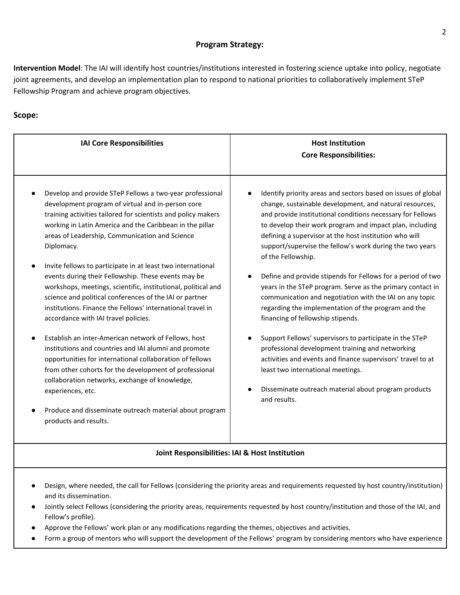### **Program Strategy:**

**Intervention Model**: The IAI will identify host countries/institutions interested in fostering science uptake into policy, negotiate joint agreements, and develop an implementation plan to respond to national priorities to collaboratively implement STeP Fellowship Program and achieve program objectives.

# **Scope:**

| <b>IAI Core Responsibilities</b>                                                                                                                                                                                                                                                                                                                                                                                                                                                                                                                                                                                                                                                                                                                                                                                                                                                                                                                                                                                                                                     | <b>Host Institution</b><br><b>Core Responsibilities:</b>                                                                                                                                                                                                                                                                                                                                                                                                                                                                                                                                                                                                                                                                                                                                                                                                                                                                                                                      |
|----------------------------------------------------------------------------------------------------------------------------------------------------------------------------------------------------------------------------------------------------------------------------------------------------------------------------------------------------------------------------------------------------------------------------------------------------------------------------------------------------------------------------------------------------------------------------------------------------------------------------------------------------------------------------------------------------------------------------------------------------------------------------------------------------------------------------------------------------------------------------------------------------------------------------------------------------------------------------------------------------------------------------------------------------------------------|-------------------------------------------------------------------------------------------------------------------------------------------------------------------------------------------------------------------------------------------------------------------------------------------------------------------------------------------------------------------------------------------------------------------------------------------------------------------------------------------------------------------------------------------------------------------------------------------------------------------------------------------------------------------------------------------------------------------------------------------------------------------------------------------------------------------------------------------------------------------------------------------------------------------------------------------------------------------------------|
| Develop and provide STeP Fellows a two-year professional<br>development program of virtual and in-person core<br>training activities tailored for scientists and policy makers<br>working in Latin America and the Caribbean in the pillar<br>areas of Leadership, Communication and Science<br>Diplomacy.<br>Invite fellows to participate in at least two international<br>events during their Fellowship. These events may be<br>workshops, meetings, scientific, institutional, political and<br>science and political conferences of the IAI or partner<br>institutions. Finance the Fellows' international travel in<br>accordance with IAI travel policies.<br>Establish an inter-American network of Fellows, host<br>institutions and countries and IAI alumni and promote<br>opportunities for international collaboration of fellows<br>from other cohorts for the development of professional<br>collaboration networks, exchange of knowledge,<br>experiences, etc.<br>Produce and disseminate outreach material about program<br>products and results. | Identify priority areas and sectors based on issues of global<br>change, sustainable development, and natural resources,<br>and provide institutional conditions necessary for Fellows<br>to develop their work program and impact plan, including<br>defining a supervisor at the host institution who will<br>support/supervise the fellow's work during the two years<br>of the Fellowship.<br>Define and provide stipends for Fellows for a period of two<br>years in the STeP program. Serve as the primary contact in<br>communication and negotiation with the IAI on any topic<br>regarding the implementation of the program and the<br>financing of fellowship stipends.<br>Support Fellows' supervisors to participate in the STeP<br>professional development training and networking<br>activities and events and finance supervisors' travel to at<br>least two international meetings.<br>Disseminate outreach material about program products<br>and results. |
| Joint Responsibilities: IAI & Host Institution                                                                                                                                                                                                                                                                                                                                                                                                                                                                                                                                                                                                                                                                                                                                                                                                                                                                                                                                                                                                                       |                                                                                                                                                                                                                                                                                                                                                                                                                                                                                                                                                                                                                                                                                                                                                                                                                                                                                                                                                                               |
| Design, where needed, the call for Fellows (considering the priority areas and requirements requested by host country/institution)<br>and its dissemination.<br>Jointly select Fellows (considering the priority areas, requirements requested by host country/institution and those of the IAI, and<br>$\bullet$<br>Fellow's profile).<br>Approve the Fellows' work plan or any modifications regarding the themes, objectives and activities.<br>Form a group of mentors who will support the development of the Fellows' program by considering mentors who have experience                                                                                                                                                                                                                                                                                                                                                                                                                                                                                       |                                                                                                                                                                                                                                                                                                                                                                                                                                                                                                                                                                                                                                                                                                                                                                                                                                                                                                                                                                               |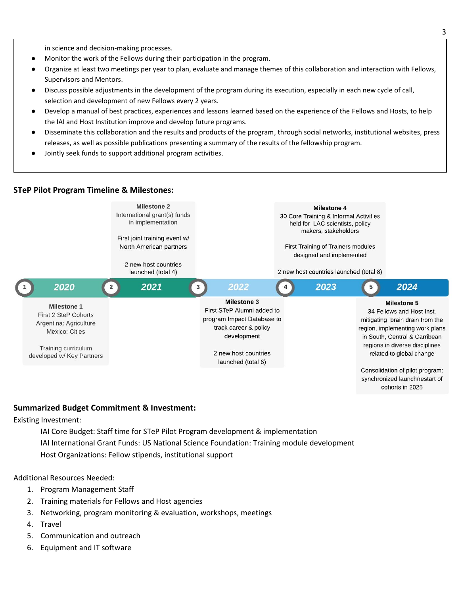in science and decision-making processes.

- Monitor the work of the Fellows during their participation in the program.
- Organize at least two meetings per year to plan, evaluate and manage themes of this collaboration and interaction with Fellows, Supervisors and Mentors.
- Discuss possible adjustments in the development of the program during its execution, especially in each new cycle of call, selection and development of new Fellows every 2 years.
- Develop a manual of best practices, experiences and lessons learned based on the experience of the Fellows and Hosts, to help the IAI and Host Institution improve and develop future programs.
- Disseminate this collaboration and the results and products of the program, through social networks, institutional websites, press releases, as well as possible publications presenting a summary of the results of the fellowship program.
- Jointly seek funds to support additional program activities.

#### **STeP Pilot Program Timeline & Milestones:**



#### **Summarized Budget Commitment & Investment:**

#### Existing Investment:

IAI Core Budget: Staff time for STeP Pilot Program development & implementation IAI International Grant Funds: US National Science Foundation: Training module development Host Organizations: Fellow stipends, institutional support

#### Additional Resources Needed:

- 1. Program Management Staff
- 2. Training materials for Fellows and Host agencies
- 3. Networking, program monitoring & evaluation, workshops, meetings
- 4. Travel
- 5. Communication and outreach
- 6. Equipment and IT software